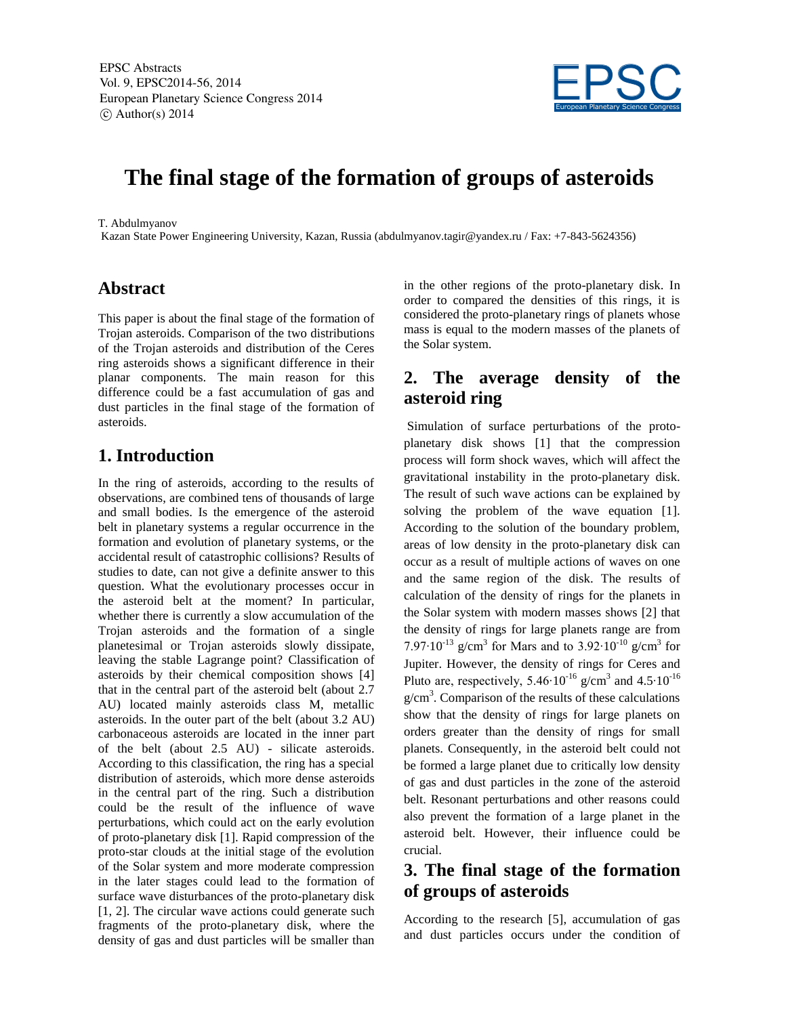EPSC Abstracts Vol. 9, EPSC2014-56, 2014 European Planetary Science Congress 2014  $\circ$  Author(s) 2014



# **The final stage of the formation of groups of asteroids**

T. Abdulmyanov

Kazan State Power Engineering University, Kazan, Russia (abdulmyanov.tagir@yandex.ru / Fax: +7-843-5624356)

#### **Abstract**

This paper is about the final stage of the formation of Trojan asteroids. Comparison of the two distributions of the Trojan asteroids and distribution of the Ceres ring asteroids shows a significant difference in their planar components. The main reason for this difference could be a fast accumulation of gas and dust particles in the final stage of the formation of asteroids.

#### **1. Introduction**

In the ring of asteroids, according to the results of observations, are combined tens of thousands of large and small bodies. Is the emergence of the asteroid belt in planetary systems a regular occurrence in the formation and evolution of planetary systems, or the accidental result of catastrophic collisions? Results of studies to date, can not give a definite answer to this question. What the evolutionary processes occur in the asteroid belt at the moment? In particular, whether there is currently a slow accumulation of the Trojan asteroids and the formation of a single planetesimal or Trojan asteroids slowly dissipate, leaving the stable Lagrange point? Classification of asteroids by their chemical composition shows [4] that in the central part of the asteroid belt (about 2.7 AU) located mainly asteroids class M, metallic asteroids. In the outer part of the belt (about 3.2 AU) carbonaceous asteroids are located in the inner part of the belt (about 2.5 AU) - silicate asteroids. According to this classification, the ring has a special distribution of asteroids, which more dense asteroids in the central part of the ring. Such a distribution could be the result of the influence of wave perturbations, which could act on the early evolution of proto-planetary disk [1]. Rapid compression of the proto-star clouds at the initial stage of the evolution of the Solar system and more moderate compression in the later stages could lead to the formation of surface wave disturbances of the proto-planetary disk [1, 2]. The circular wave actions could generate such fragments of the proto-planetary disk, where the density of gas and dust particles will be smaller than in the other regions of the proto-planetary disk. In order to compared the densities of this rings, it is considered the proto-planetary rings of planets whose mass is equal to the modern masses of the planets of the Solar system.

## **2. The average density of the asteroid ring**

Simulation of surface perturbations of the protoplanetary disk shows [1] that the compression process will form shock waves, which will affect the gravitational instability in the proto-planetary disk. The result of such wave actions can be explained by solving the problem of the wave equation [1]. According to the solution of the boundary problem, areas of low density in the proto-planetary disk can occur as a result of multiple actions of waves on one and the same region of the disk. The results of calculation of the density of rings for the planets in the Solar system with modern masses shows [2] that the density of rings for large planets range are from 7.97 $\cdot$ 10<sup>-13</sup> g/cm<sup>3</sup> for Mars and to 3.92 $\cdot$ 10<sup>-10</sup> g/cm<sup>3</sup> for Jupiter. However, the density of rings for Ceres and Pluto are, respectively, 5.46 $\cdot 10^{-16}$  g/cm<sup>3</sup> and 4.5 $\cdot 10^{-16}$  $g/cm<sup>3</sup>$ . Comparison of the results of these calculations show that the density of rings for large planets on orders greater than the density of rings for small planets. Consequently, in the asteroid belt could not be formed a large planet due to critically low density of gas and dust particles in the zone of the asteroid belt. Resonant perturbations and other reasons could also prevent the formation of a large planet in the asteroid belt. However, their influence could be crucial.

## **3. The final stage of the formation of groups of asteroids**

According to the research [5], accumulation of gas and dust particles occurs under the condition of